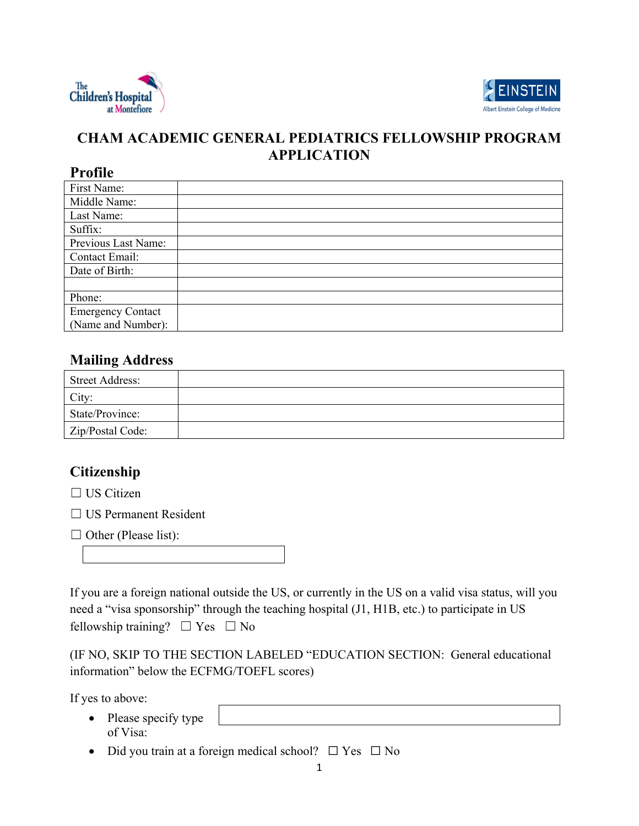



# **CHAM ACADEMIC GENERAL PEDIATRICS FELLOWSHIP PROGRAM APPLICATION**

#### **Profile**

| First Name:              |  |
|--------------------------|--|
| Middle Name:             |  |
| Last Name:               |  |
| Suffix:                  |  |
| Previous Last Name:      |  |
| Contact Email:           |  |
| Date of Birth:           |  |
|                          |  |
| Phone:                   |  |
| <b>Emergency Contact</b> |  |
| (Name and Number):       |  |

# **Mailing Address**

| <b>Street Address:</b> |  |
|------------------------|--|
| City:                  |  |
| State/Province:        |  |
| Zip/Postal Code:       |  |

# **Citizenship**

□ US Citizen

☐ US Permanent Resident

| $\Box$ Other (Please list): |  |  |
|-----------------------------|--|--|
|-----------------------------|--|--|

If you are a foreign national outside the US, or currently in the US on a valid visa status, will you need a "visa sponsorship" through the teaching hospital (J1, H1B, etc.) to participate in US fellowship training?  $\Box$  Yes  $\Box$  No

(IF NO, SKIP TO THE SECTION LABELED "EDUCATION SECTION: General educational information" below the ECFMG/TOEFL scores)

If yes to above:

- Please specify type of Visa:
- Did you train at a foreign medical school?  $\Box$  Yes  $\Box$  No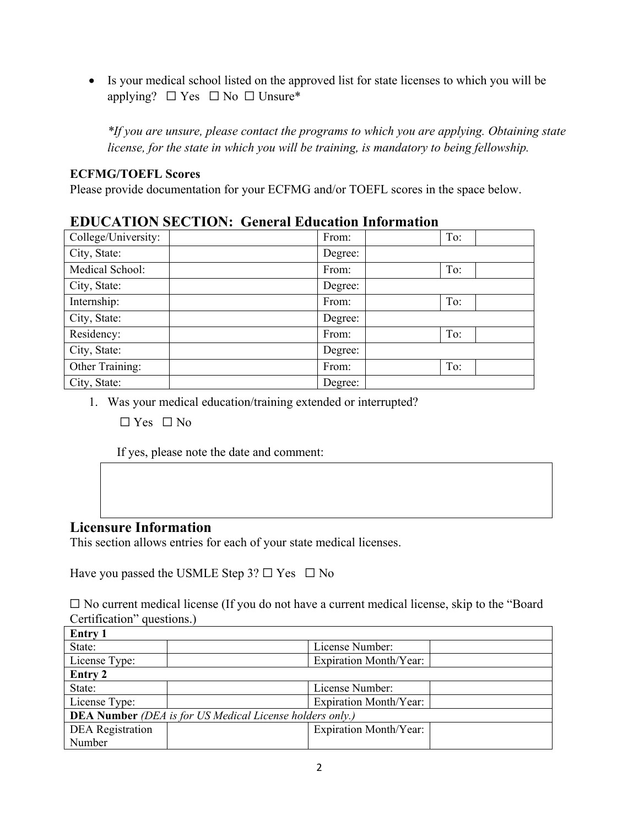• Is your medical school listed on the approved list for state licenses to which you will be applying?  $\Box$  Yes  $\Box$  No  $\Box$  Unsure\*

*\*If you are unsure, please contact the programs to which you are applying. Obtaining state license, for the state in which you will be training, is mandatory to being fellowship.* 

#### **ECFMG/TOEFL Scores**

Please provide documentation for your ECFMG and/or TOEFL scores in the space below.

| ЕРОСЛІТОВ БЕСТІОВ, ОСШАН ЕЙИСАНОЙ ПІЮІ ШАНОЙ |         |     |
|----------------------------------------------|---------|-----|
| College/University:                          | From:   | To: |
| City, State:                                 | Degree: |     |
| Medical School:                              | From:   | To: |
| City, State:                                 | Degree: |     |
| Internship:                                  | From:   | To: |
| City, State:                                 | Degree: |     |
| Residency:                                   | From:   | To: |
| City, State:                                 | Degree: |     |
| Other Training:                              | From:   | To: |
| City, State:                                 | Degree: |     |

### **EDUCATION SECTION: General Education Information**

1. Was your medical education/training extended or interrupted?

 $\Box$  Yes  $\Box$  No

If yes, please note the date and comment:

### **Licensure Information**

This section allows entries for each of your state medical licenses.

Have you passed the USMLE Step  $3? \square$  Yes  $\square$  No

☐ No current medical license (If you do not have a current medical license, skip to the "Board Certification" questions.)

| Entry 1                                                         |  |                        |
|-----------------------------------------------------------------|--|------------------------|
| State:                                                          |  | License Number:        |
| License Type:                                                   |  | Expiration Month/Year: |
| <b>Entry 2</b>                                                  |  |                        |
| State:                                                          |  | License Number:        |
| License Type:                                                   |  | Expiration Month/Year: |
| <b>DEA Number</b> (DEA is for US Medical License holders only.) |  |                        |
| <b>DEA</b> Registration                                         |  | Expiration Month/Year: |
| Number                                                          |  |                        |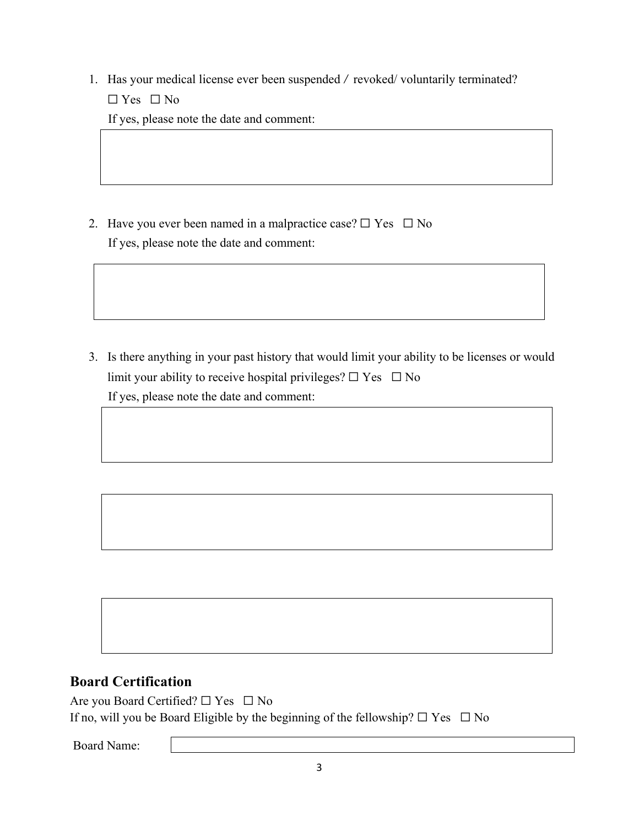1. Has your medical license ever been suspended / revoked/ voluntarily terminated?

☐ Yes ☐ No

If yes, please note the date and comment:

2. Have you ever been named in a malpractice case?  $\Box$  Yes  $\Box$  No If yes, please note the date and comment:

3. Is there anything in your past history that would limit your ability to be licenses or would limit your ability to receive hospital privileges?  $\Box$  Yes  $\Box$  No If yes, please note the date and comment:

# **Board Certification**

Are you Board Certified?  $\Box$  Yes  $\Box$  No If no, will you be Board Eligible by the beginning of the fellowship?  $\Box$  Yes  $\Box$  No

Board Name: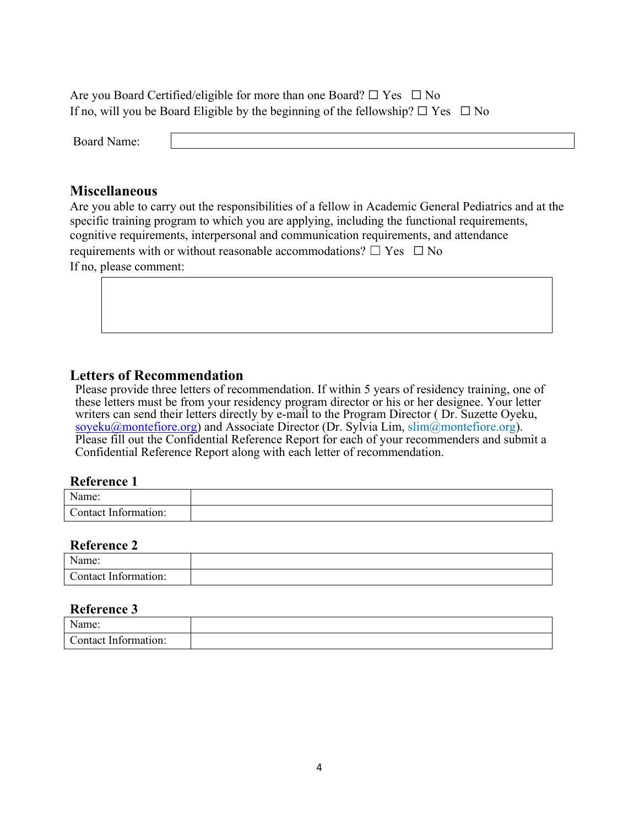Are you Board Certified/eligible for more than one Board?  $\Box$  Yes  $\Box$  No If no, will you be Board Eligible by the beginning of the fellowship?  $\Box$  Yes  $\Box$  No

Board Name:

#### **Miscellaneous**

Are you able to carry out the responsibilities of a fellow in Academic General Pediatrics and at the specific training program to which you are applying, including the functional requirements, cognitive requirements, interpersonal and communication requirements, and attendance requirements with or without reasonable accommodations?  $\Box$  Yes  $\Box$  No If no, please comment:

### **Letters of Recommendation**

Please provide three letters of recommendation. If within 5 years of residency training, one of these letters must be from your residency program director or his or her designee. Your letter writers can send their letters directly by e-mail to the Program Director ( Dr. Suzette Oyeku, [soyeku@montefiore.org\)](mailto:soyeku@montefiore.org) and Associate Director (Dr. Sylvia Lim,  $\text{slim}(\hat{\omega})$ montefiore.org). Please fill out the Confidential Reference Report for each of your recommenders and submit a Confidential Reference Report along with each letter of recommendation.

#### **Reference 1**

| $\mathbf{X}$<br>√ame:                            |  |
|--------------------------------------------------|--|
| $\sim$<br>$\sqrt{ }$<br>.`ontact<br>Information: |  |

#### **Reference 2**

| $\mathbf{X}$<br>lama:<br>ыне.            |  |
|------------------------------------------|--|
| $\sqrt{ }$<br>. `ontact_<br>-Information |  |

#### **Reference 3**

| $\mathbf{N}$<br>0.4880<br>' I I C. |  |
|------------------------------------|--|
| nn.<br>`ontact<br>.<br>$    -$     |  |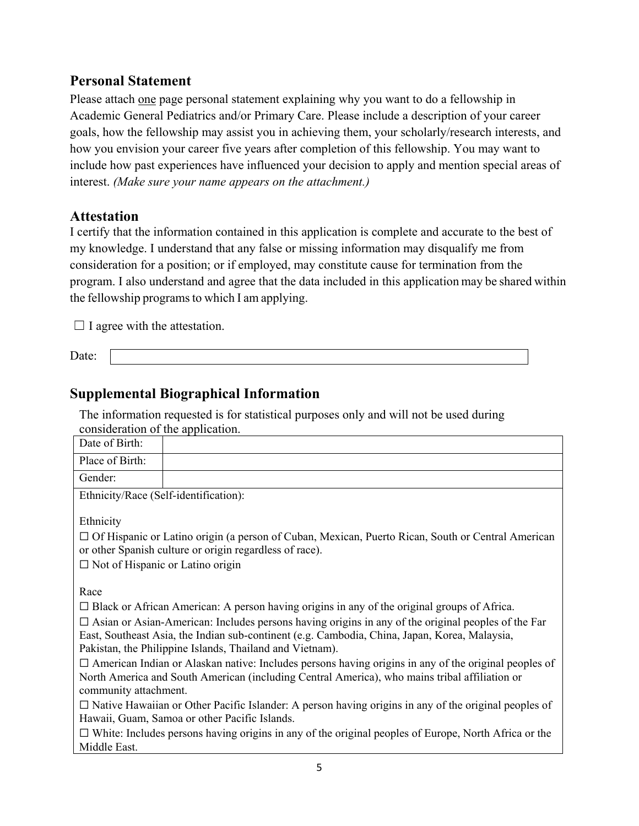### **Personal Statement**

Please attach one page personal statement explaining why you want to do a fellowship in Academic General Pediatrics and/or Primary Care. Please include a description of your career goals, how the fellowship may assist you in achieving them, your scholarly/research interests, and how you envision your career five years after completion of this fellowship. You may want to include how past experiences have influenced your decision to apply and mention special areas of interest. *(Make sure your name appears on the attachment.)*

### **Attestation**

I certify that the information contained in this application is complete and accurate to the best of my knowledge. I understand that any false or missing information may disqualify me from consideration for a position; or if employed, may constitute cause for termination from the program. I also understand and agree that the data included in this application may be shared within the fellowship programs to which I am applying.

 $\Box$  I agree with the attestation.

Date:

### **Supplemental Biographical Information**

The information requested is for statistical purposes only and will not be used during consideration of the application.

| consideration of the application.                                                                                                                                                                                                                                      |                                                                                                                                                                                                              |
|------------------------------------------------------------------------------------------------------------------------------------------------------------------------------------------------------------------------------------------------------------------------|--------------------------------------------------------------------------------------------------------------------------------------------------------------------------------------------------------------|
| Date of Birth:                                                                                                                                                                                                                                                         |                                                                                                                                                                                                              |
| Place of Birth:                                                                                                                                                                                                                                                        |                                                                                                                                                                                                              |
| Gender:                                                                                                                                                                                                                                                                |                                                                                                                                                                                                              |
| Ethnicity/Race (Self-identification):                                                                                                                                                                                                                                  |                                                                                                                                                                                                              |
| Ethnicity<br>$\Box$ Not of Hispanic or Latino origin                                                                                                                                                                                                                   | $\Box$ Of Hispanic or Latino origin (a person of Cuban, Mexican, Puerto Rican, South or Central American<br>or other Spanish culture or origin regardless of race).                                          |
| Race                                                                                                                                                                                                                                                                   |                                                                                                                                                                                                              |
|                                                                                                                                                                                                                                                                        | $\Box$ Black or African American: A person having origins in any of the original groups of Africa.                                                                                                           |
| $\Box$ Asian or Asian-American: Includes persons having origins in any of the original peoples of the Far<br>East, Southeast Asia, the Indian sub-continent (e.g. Cambodia, China, Japan, Korea, Malaysia,<br>Pakistan, the Philippine Islands, Thailand and Vietnam). |                                                                                                                                                                                                              |
| community attachment.                                                                                                                                                                                                                                                  | $\Box$ American Indian or Alaskan native: Includes persons having origins in any of the original peoples of<br>North America and South American (including Central America), who mains tribal affiliation or |
| $\Box$ Native Hawaiian or Other Pacific Islander: A person having origins in any of the original peoples of<br>Hawaii, Guam, Samoa or other Pacific Islands.                                                                                                           |                                                                                                                                                                                                              |
| $\Box$ White: Includes persons having origins in any of the original peoples of Europe, North Africa or the<br>Middle East.                                                                                                                                            |                                                                                                                                                                                                              |
|                                                                                                                                                                                                                                                                        |                                                                                                                                                                                                              |